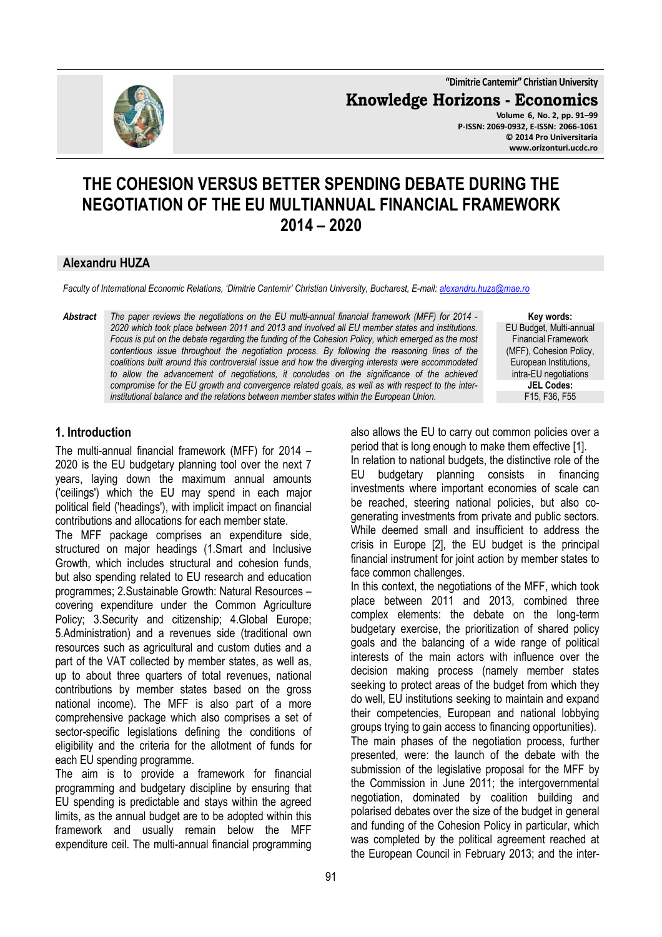**"Dimitrie Cantemir" Christian University**

**Knowledge Horizons - Economics**

**Volume 6, No. 2, pp. 91–99 P-ISSN: 2069-0932, E-ISSN: 2066-1061 © 2014 Pro Universitaria www.orizonturi.ucdc.ro**

# **THE COHESION VERSUS BETTER SPENDING DEBATE DURING THE NEGOTIATION OF THE EU MULTIANNUAL FINANCIAL FRAMEWORK 2014 – 2020**

## **Alexandru HUZA**

*Faculty of International Economic Relations, 'Dimitrie Cantemir' Christian University, Bucharest, E-mail: alexandru.huza@mae.ro*

*Abstract The paper reviews the negotiations on the EU multi-annual financial framework (MFF) for 2014 - 2020 which took place between 2011 and 2013 and involved all EU member states and institutions. Focus is put on the debate regarding the funding of the Cohesion Policy, which emerged as the most contentious issue throughout the negotiation process. By following the reasoning lines of the coalitions built around this controversial issue and how the diverging interests were accommodated*  to allow the advancement of negotiations, it concludes on the significance of the achieved *compromise for the EU growth and convergence related goals, as well as with respect to the interinstitutional balance and the relations between member states within the European Union.* 

**Key words:** EU Budget, Multi-annual Financial Framework (MFF), Cohesion Policy, European Institutions, intra-EU negotiations **JEL Codes:** F15, F36, F55

#### **1. Introduction**

The multi-annual financial framework (MFF) for 2014 – 2020 is the EU budgetary planning tool over the next 7 years, laying down the maximum annual amounts ('ceilings') which the EU may spend in each major political field ('headings'), with implicit impact on financial contributions and allocations for each member state.

The MFF package comprises an expenditure side, structured on major headings (1.Smart and Inclusive Growth, which includes structural and cohesion funds, but also spending related to EU research and education programmes; 2.Sustainable Growth: Natural Resources – covering expenditure under the Common Agriculture Policy; 3.Security and citizenship; 4.Global Europe; 5.Administration) and a revenues side (traditional own resources such as agricultural and custom duties and a part of the VAT collected by member states, as well as, up to about three quarters of total revenues, national contributions by member states based on the gross national income). The MFF is also part of a more comprehensive package which also comprises a set of sector-specific legislations defining the conditions of eligibility and the criteria for the allotment of funds for each EU spending programme.

The aim is to provide a framework for financial programming and budgetary discipline by ensuring that EU spending is predictable and stays within the agreed limits, as the annual budget are to be adopted within this framework and usually remain below the MFF expenditure ceil. The multi-annual financial programming

also allows the EU to carry out common policies over a period that is long enough to make them effective [1]. In relation to national budgets, the distinctive role of the EU budgetary planning consists in financing investments where important economies of scale can be reached, steering national policies, but also cogenerating investments from private and public sectors. While deemed small and insufficient to address the crisis in Europe [2], the EU budget is the principal financial instrument for joint action by member states to face common challenges.

In this context, the negotiations of the MFF, which took place between 2011 and 2013, combined three complex elements: the debate on the long-term budgetary exercise, the prioritization of shared policy goals and the balancing of a wide range of political interests of the main actors with influence over the decision making process (namely member states seeking to protect areas of the budget from which they do well, EU institutions seeking to maintain and expand their competencies, European and national lobbying groups trying to gain access to financing opportunities). The main phases of the negotiation process, further presented, were: the launch of the debate with the submission of the legislative proposal for the MFF by the Commission in June 2011; the intergovernmental negotiation, dominated by coalition building and polarised debates over the size of the budget in general and funding of the Cohesion Policy in particular, which was completed by the political agreement reached at the European Council in February 2013; and the inter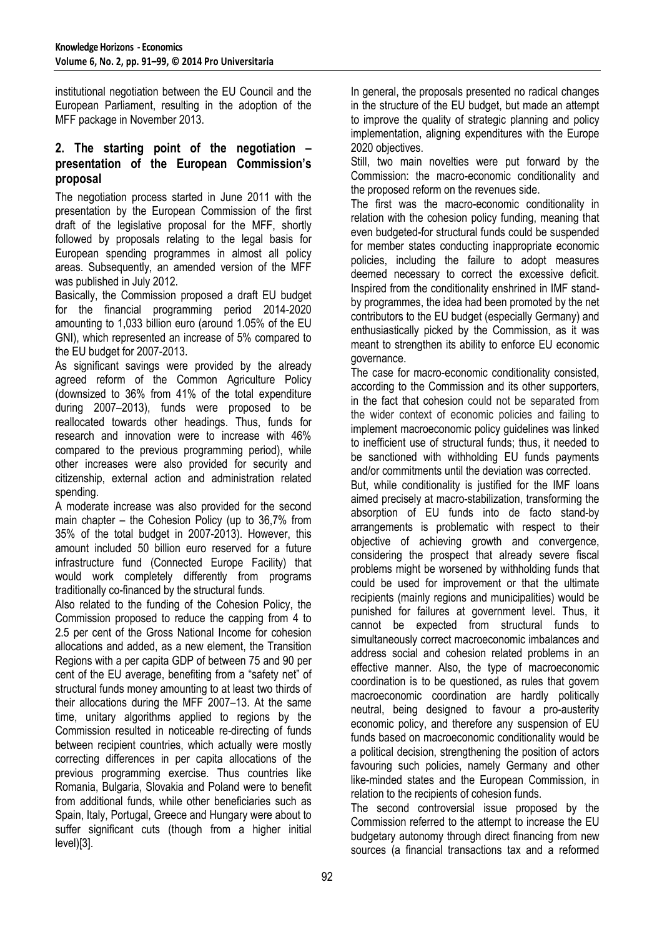institutional negotiation between the EU Council and the European Parliament, resulting in the adoption of the MFF package in November 2013.

## **2. The starting point of the negotiation – presentation of the European Commission's proposal**

The negotiation process started in June 2011 with the presentation by the European Commission of the first draft of the legislative proposal for the MFF, shortly followed by proposals relating to the legal basis for European spending programmes in almost all policy areas. Subsequently, an amended version of the MFF was published in July 2012.

Basically, the Commission proposed a draft EU budget for the financial programming period 2014-2020 amounting to 1,033 billion euro (around 1.05% of the EU GNI), which represented an increase of 5% compared to the EU budget for 2007-2013.

As significant savings were provided by the already agreed reform of the Common Agriculture Policy (downsized to 36% from 41% of the total expenditure during 2007–2013), funds were proposed to be reallocated towards other headings. Thus, funds for research and innovation were to increase with 46% compared to the previous programming period), while other increases were also provided for security and citizenship, external action and administration related spending.

A moderate increase was also provided for the second main chapter – the Cohesion Policy (up to 36,7% from 35% of the total budget in 2007-2013). However, this amount included 50 billion euro reserved for a future infrastructure fund (Connected Europe Facility) that would work completely differently from programs traditionally co-financed by the structural funds.

Also related to the funding of the Cohesion Policy, the Commission proposed to reduce the capping from 4 to 2.5 per cent of the Gross National Income for cohesion allocations and added, as a new element, the Transition Regions with a per capita GDP of between 75 and 90 per cent of the EU average, benefiting from a "safety net" of structural funds money amounting to at least two thirds of their allocations during the MFF 2007–13. At the same time, unitary algorithms applied to regions by the Commission resulted in noticeable re-directing of funds between recipient countries, which actually were mostly correcting differences in per capita allocations of the previous programming exercise. Thus countries like Romania, Bulgaria, Slovakia and Poland were to benefit from additional funds, while other beneficiaries such as Spain, Italy, Portugal, Greece and Hungary were about to suffer significant cuts (though from a higher initial level)[3].

In general, the proposals presented no radical changes in the structure of the EU budget, but made an attempt to improve the quality of strategic planning and policy implementation, aligning expenditures with the Europe 2020 objectives.

Still, two main novelties were put forward by the Commission: the macro-economic conditionality and the proposed reform on the revenues side.

The first was the macro-economic conditionality in relation with the cohesion policy funding, meaning that even budgeted-for structural funds could be suspended for member states conducting inappropriate economic policies, including the failure to adopt measures deemed necessary to correct the excessive deficit. Inspired from the conditionality enshrined in IMF standby programmes, the idea had been promoted by the net contributors to the EU budget (especially Germany) and enthusiastically picked by the Commission, as it was meant to strengthen its ability to enforce EU economic governance.

The case for macro-economic conditionality consisted, according to the Commission and its other supporters, in the fact that cohesion could not be separated from the wider context of economic policies and failing to implement macroeconomic policy guidelines was linked to inefficient use of structural funds; thus, it needed to be sanctioned with withholding EU funds payments and/or commitments until the deviation was corrected.

But, while conditionality is justified for the IMF loans aimed precisely at macro-stabilization, transforming the absorption of EU funds into de facto stand-by arrangements is problematic with respect to their objective of achieving growth and convergence, considering the prospect that already severe fiscal problems might be worsened by withholding funds that could be used for improvement or that the ultimate recipients (mainly regions and municipalities) would be punished for failures at government level. Thus, it cannot be expected from structural funds to simultaneously correct macroeconomic imbalances and address social and cohesion related problems in an effective manner. Also, the type of macroeconomic coordination is to be questioned, as rules that govern macroeconomic coordination are hardly politically neutral, being designed to favour a pro-austerity economic policy, and therefore any suspension of EU funds based on macroeconomic conditionality would be a political decision, strengthening the position of actors favouring such policies, namely Germany and other like-minded states and the European Commission, in relation to the recipients of cohesion funds.

The second controversial issue proposed by the Commission referred to the attempt to increase the EU budgetary autonomy through direct financing from new sources (a financial transactions tax and a reformed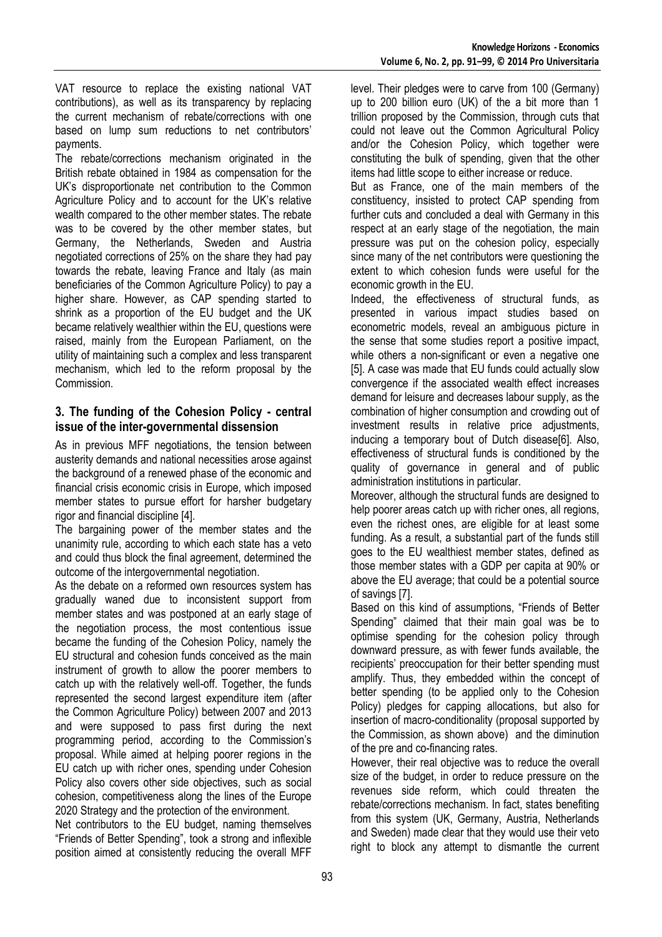VAT resource to replace the existing national VAT contributions), as well as its transparency by replacing the current mechanism of rebate/corrections with one based on lump sum reductions to net contributors' payments.

The rebate/corrections mechanism originated in the British rebate obtained in 1984 as compensation for the UK's disproportionate net contribution to the Common Agriculture Policy and to account for the UK's relative wealth compared to the other member states. The rebate was to be covered by the other member states, but Germany, the Netherlands, Sweden and Austria negotiated corrections of 25% on the share they had pay towards the rebate, leaving France and Italy (as main beneficiaries of the Common Agriculture Policy) to pay a higher share. However, as CAP spending started to shrink as a proportion of the EU budget and the UK became relatively wealthier within the EU, questions were raised, mainly from the European Parliament, on the utility of maintaining such a complex and less transparent mechanism, which led to the reform proposal by the Commission.

#### **3. The funding of the Cohesion Policy - central issue of the inter-governmental dissension**

As in previous MFF negotiations, the tension between austerity demands and national necessities arose against the background of a renewed phase of the economic and financial crisis economic crisis in Europe, which imposed member states to pursue effort for harsher budgetary rigor and financial discipline [4].

The bargaining power of the member states and the unanimity rule, according to which each state has a veto and could thus block the final agreement, determined the outcome of the intergovernmental negotiation.

As the debate on a reformed own resources system has gradually waned due to inconsistent support from member states and was postponed at an early stage of the negotiation process, the most contentious issue became the funding of the Cohesion Policy, namely the EU structural and cohesion funds conceived as the main instrument of growth to allow the poorer members to catch up with the relatively well-off. Together, the funds represented the second largest expenditure item (after the Common Agriculture Policy) between 2007 and 2013 and were supposed to pass first during the next programming period, according to the Commission's proposal. While aimed at helping poorer regions in the EU catch up with richer ones, spending under Cohesion Policy also covers other side objectives, such as social cohesion, competitiveness along the lines of the Europe 2020 Strategy and the protection of the environment.

Net contributors to the EU budget, naming themselves "Friends of Better Spending", took a strong and inflexible position aimed at consistently reducing the overall MFF level. Their pledges were to carve from 100 (Germany) up to 200 billion euro (UK) of the a bit more than 1 trillion proposed by the Commission, through cuts that could not leave out the Common Agricultural Policy and/or the Cohesion Policy, which together were constituting the bulk of spending, given that the other items had little scope to either increase or reduce.

But as France, one of the main members of the constituency, insisted to protect CAP spending from further cuts and concluded a deal with Germany in this respect at an early stage of the negotiation, the main pressure was put on the cohesion policy, especially since many of the net contributors were questioning the extent to which cohesion funds were useful for the economic growth in the EU.

Indeed, the effectiveness of structural funds, as presented in various impact studies based on econometric models, reveal an ambiguous picture in the sense that some studies report a positive impact, while others a non-significant or even a negative one [5]. A case was made that EU funds could actually slow convergence if the associated wealth effect increases demand for leisure and decreases labour supply, as the combination of higher consumption and crowding out of investment results in relative price adjustments, inducing a temporary bout of Dutch disease[6]. Also, effectiveness of structural funds is conditioned by the quality of governance in general and of public administration institutions in particular.

Moreover, although the structural funds are designed to help poorer areas catch up with richer ones, all regions, even the richest ones, are eligible for at least some funding. As a result, a substantial part of the funds still goes to the EU wealthiest member states, defined as those member states with a GDP per capita at 90% or above the EU average; that could be a potential source of savings [7].

Based on this kind of assumptions, "Friends of Better Spending" claimed that their main goal was be to optimise spending for the cohesion policy through downward pressure, as with fewer funds available, the recipients' preoccupation for their better spending must amplify. Thus, they embedded within the concept of better spending (to be applied only to the Cohesion Policy) pledges for capping allocations, but also for insertion of macro-conditionality (proposal supported by the Commission, as shown above) and the diminution of the pre and co-financing rates.

However, their real objective was to reduce the overall size of the budget, in order to reduce pressure on the revenues side reform, which could threaten the rebate/corrections mechanism. In fact, states benefiting from this system (UK, Germany, Austria, Netherlands and Sweden) made clear that they would use their veto right to block any attempt to dismantle the current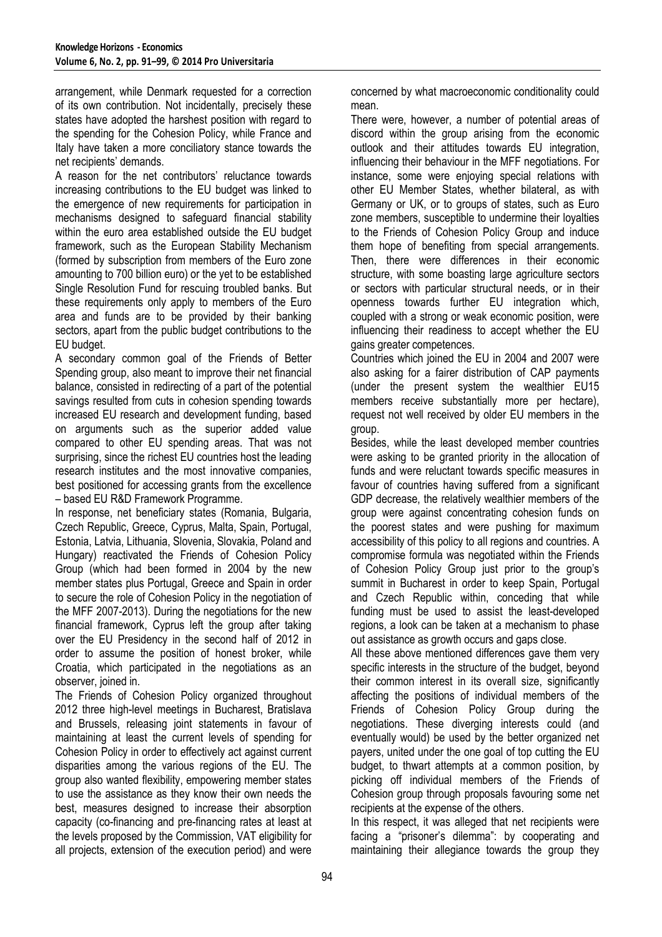arrangement, while Denmark requested for a correction of its own contribution. Not incidentally, precisely these states have adopted the harshest position with regard to the spending for the Cohesion Policy, while France and Italy have taken a more conciliatory stance towards the net recipients' demands.

A reason for the net contributors' reluctance towards increasing contributions to the EU budget was linked to the emergence of new requirements for participation in mechanisms designed to safeguard financial stability within the euro area established outside the EU budget framework, such as the European Stability Mechanism (formed by subscription from members of the Euro zone amounting to 700 billion euro) or the yet to be established Single Resolution Fund for rescuing troubled banks. But these requirements only apply to members of the Euro area and funds are to be provided by their banking sectors, apart from the public budget contributions to the EU budget.

A secondary common goal of the Friends of Better Spending group, also meant to improve their net financial balance, consisted in redirecting of a part of the potential savings resulted from cuts in cohesion spending towards increased EU research and development funding, based on arguments such as the superior added value compared to other EU spending areas. That was not surprising, since the richest EU countries host the leading research institutes and the most innovative companies, best positioned for accessing grants from the excellence – based EU R&D Framework Programme.

In response, net beneficiary states (Romania, Bulgaria, Czech Republic, Greece, Cyprus, Malta, Spain, Portugal, Estonia, Latvia, Lithuania, Slovenia, Slovakia, Poland and Hungary) reactivated the Friends of Cohesion Policy Group (which had been formed in 2004 by the new member states plus Portugal, Greece and Spain in order to secure the role of Cohesion Policy in the negotiation of the MFF 2007-2013). During the negotiations for the new financial framework, Cyprus left the group after taking over the EU Presidency in the second half of 2012 in order to assume the position of honest broker, while Croatia, which participated in the negotiations as an observer, joined in.

The Friends of Cohesion Policy organized throughout 2012 three high-level meetings in Bucharest, Bratislava and Brussels, releasing joint statements in favour of maintaining at least the current levels of spending for Cohesion Policy in order to effectively act against current disparities among the various regions of the EU. The group also wanted flexibility, empowering member states to use the assistance as they know their own needs the best, measures designed to increase their absorption capacity (co-financing and pre-financing rates at least at the levels proposed by the Commission, VAT eligibility for all projects, extension of the execution period) and were

concerned by what macroeconomic conditionality could mean.

There were, however, a number of potential areas of discord within the group arising from the economic outlook and their attitudes towards EU integration, influencing their behaviour in the MFF negotiations. For instance, some were enjoying special relations with other EU Member States, whether bilateral, as with Germany or UK, or to groups of states, such as Euro zone members, susceptible to undermine their loyalties to the Friends of Cohesion Policy Group and induce them hope of benefiting from special arrangements. Then, there were differences in their economic structure, with some boasting large agriculture sectors or sectors with particular structural needs, or in their openness towards further EU integration which, coupled with a strong or weak economic position, were influencing their readiness to accept whether the EU gains greater competences.

Countries which joined the EU in 2004 and 2007 were also asking for a fairer distribution of CAP payments (under the present system the wealthier EU15 members receive substantially more per hectare), request not well received by older EU members in the group.

Besides, while the least developed member countries were asking to be granted priority in the allocation of funds and were reluctant towards specific measures in favour of countries having suffered from a significant GDP decrease, the relatively wealthier members of the group were against concentrating cohesion funds on the poorest states and were pushing for maximum accessibility of this policy to all regions and countries. A compromise formula was negotiated within the Friends of Cohesion Policy Group just prior to the group's summit in Bucharest in order to keep Spain, Portugal and Czech Republic within, conceding that while funding must be used to assist the least-developed regions, a look can be taken at a mechanism to phase out assistance as growth occurs and gaps close.

All these above mentioned differences gave them very specific interests in the structure of the budget, beyond their common interest in its overall size, significantly affecting the positions of individual members of the Friends of Cohesion Policy Group during the negotiations. These diverging interests could (and eventually would) be used by the better organized net payers, united under the one goal of top cutting the EU budget, to thwart attempts at a common position, by picking off individual members of the Friends of Cohesion group through proposals favouring some net recipients at the expense of the others.

In this respect, it was alleged that net recipients were facing a "prisoner's dilemma": by cooperating and maintaining their allegiance towards the group they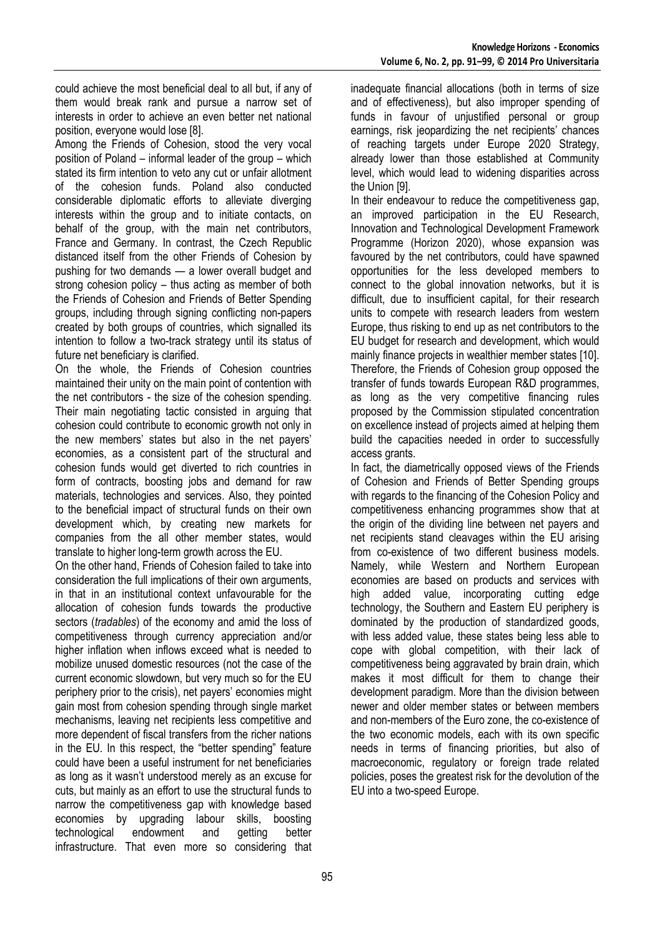could achieve the most beneficial deal to all but, if any of them would break rank and pursue a narrow set of interests in order to achieve an even better net national position, everyone would lose [8].

Among the Friends of Cohesion, stood the very vocal position of Poland – informal leader of the group – which stated its firm intention to veto any cut or unfair allotment of the cohesion funds. Poland also conducted considerable diplomatic efforts to alleviate diverging interests within the group and to initiate contacts, on behalf of the group, with the main net contributors, France and Germany. In contrast, the Czech Republic distanced itself from the other Friends of Cohesion by pushing for two demands — a lower overall budget and strong cohesion policy – thus acting as member of both the Friends of Cohesion and Friends of Better Spending groups, including through signing conflicting non-papers created by both groups of countries, which signalled its intention to follow a two-track strategy until its status of future net beneficiary is clarified.

On the whole, the Friends of Cohesion countries maintained their unity on the main point of contention with the net contributors - the size of the cohesion spending. Their main negotiating tactic consisted in arguing that cohesion could contribute to economic growth not only in the new members' states but also in the net payers' economies, as a consistent part of the structural and cohesion funds would get diverted to rich countries in form of contracts, boosting jobs and demand for raw materials, technologies and services. Also, they pointed to the beneficial impact of structural funds on their own development which, by creating new markets for companies from the all other member states, would translate to higher long-term growth across the EU.

On the other hand, Friends of Cohesion failed to take into consideration the full implications of their own arguments, in that in an institutional context unfavourable for the allocation of cohesion funds towards the productive sectors (*tradables*) of the economy and amid the loss of competitiveness through currency appreciation and/or higher inflation when inflows exceed what is needed to mobilize unused domestic resources (not the case of the current economic slowdown, but very much so for the EU periphery prior to the crisis), net payers' economies might gain most from cohesion spending through single market mechanisms, leaving net recipients less competitive and more dependent of fiscal transfers from the richer nations in the EU. In this respect, the "better spending" feature could have been a useful instrument for net beneficiaries as long as it wasn't understood merely as an excuse for cuts, but mainly as an effort to use the structural funds to narrow the competitiveness gap with knowledge based economies by upgrading labour skills, boosting technological endowment and getting better infrastructure. That even more so considering that

inadequate financial allocations (both in terms of size and of effectiveness), but also improper spending of funds in favour of unjustified personal or group earnings, risk jeopardizing the net recipients' chances of reaching targets under Europe 2020 Strategy, already lower than those established at Community level, which would lead to widening disparities across the Union [9].

In their endeavour to reduce the competitiveness gap, an improved participation in the EU Research, Innovation and Technological Development Framework Programme (Horizon 2020), whose expansion was favoured by the net contributors, could have spawned opportunities for the less developed members to connect to the global innovation networks, but it is difficult, due to insufficient capital, for their research units to compete with research leaders from western Europe, thus risking to end up as net contributors to the EU budget for research and development, which would mainly finance projects in wealthier member states [10]. Therefore, the Friends of Cohesion group opposed the transfer of funds towards European R&D programmes, as long as the very competitive financing rules proposed by the Commission stipulated concentration on excellence instead of projects aimed at helping them build the capacities needed in order to successfully access grants.

In fact, the diametrically opposed views of the Friends of Cohesion and Friends of Better Spending groups with regards to the financing of the Cohesion Policy and competitiveness enhancing programmes show that at the origin of the dividing line between net payers and net recipients stand cleavages within the EU arising from co-existence of two different business models. Namely, while Western and Northern European economies are based on products and services with high added value, incorporating cutting edge technology, the Southern and Eastern EU periphery is dominated by the production of standardized goods, with less added value, these states being less able to cope with global competition, with their lack of competitiveness being aggravated by brain drain, which makes it most difficult for them to change their development paradigm. More than the division between newer and older member states or between members and non-members of the Euro zone, the co-existence of the two economic models, each with its own specific needs in terms of financing priorities, but also of macroeconomic, regulatory or foreign trade related policies, poses the greatest risk for the devolution of the EU into a two-speed Europe.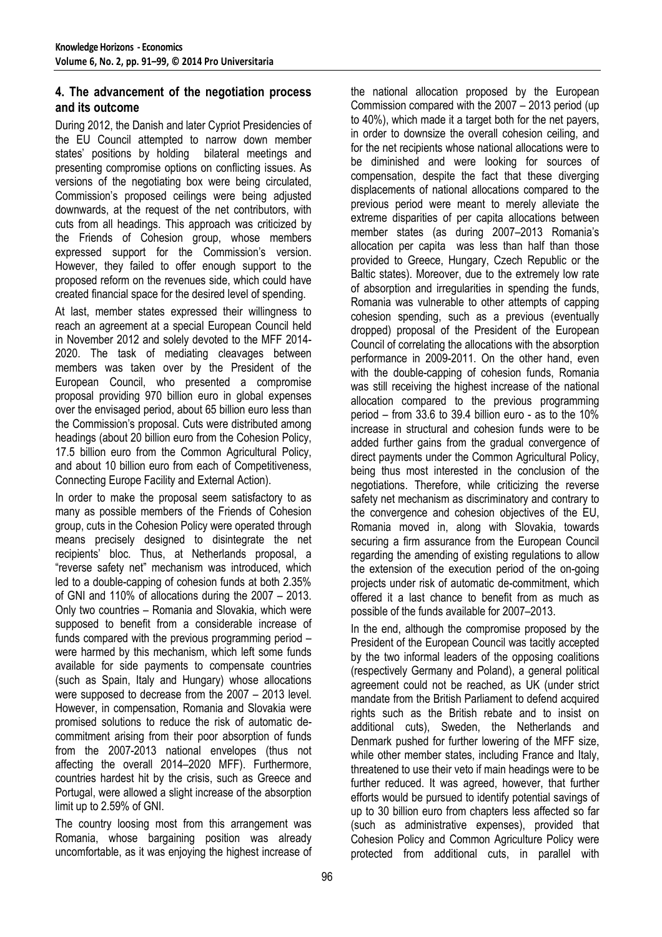# **4. The advancement of the negotiation process and its outcome**

During 2012, the Danish and later Cypriot Presidencies of the EU Council attempted to narrow down member states' positions by holding bilateral meetings and presenting compromise options on conflicting issues. As versions of the negotiating box were being circulated, Commission's proposed ceilings were being adjusted downwards, at the request of the net contributors, with cuts from all headings. This approach was criticized by the Friends of Cohesion group, whose members expressed support for the Commission's version. However, they failed to offer enough support to the proposed reform on the revenues side, which could have created financial space for the desired level of spending.

At last, member states expressed their willingness to reach an agreement at a special European Council held in November 2012 and solely devoted to the MFF 2014- 2020. The task of mediating cleavages between members was taken over by the President of the European Council, who presented a compromise proposal providing 970 billion euro in global expenses over the envisaged period, about 65 billion euro less than the Commission's proposal. Cuts were distributed among headings (about 20 billion euro from the Cohesion Policy, 17.5 billion euro from the Common Agricultural Policy, and about 10 billion euro from each of Competitiveness, Connecting Europe Facility and External Action).

In order to make the proposal seem satisfactory to as many as possible members of the Friends of Cohesion group, cuts in the Cohesion Policy were operated through means precisely designed to disintegrate the net recipients' bloc. Thus, at Netherlands proposal, a "reverse safety net" mechanism was introduced, which led to a double-capping of cohesion funds at both 2.35% of GNI and 110% of allocations during the 2007 – 2013. Only two countries – Romania and Slovakia, which were supposed to benefit from a considerable increase of funds compared with the previous programming period – were harmed by this mechanism, which left some funds available for side payments to compensate countries (such as Spain, Italy and Hungary) whose allocations were supposed to decrease from the 2007 – 2013 level. However, in compensation, Romania and Slovakia were promised solutions to reduce the risk of automatic decommitment arising from their poor absorption of funds from the 2007-2013 national envelopes (thus not affecting the overall 2014–2020 MFF). Furthermore, countries hardest hit by the crisis, such as Greece and Portugal, were allowed a slight increase of the absorption limit up to 2.59% of GNI.

The country loosing most from this arrangement was Romania, whose bargaining position was already uncomfortable, as it was enjoying the highest increase of the national allocation proposed by the European Commission compared with the 2007 – 2013 period (up to 40%), which made it a target both for the net payers, in order to downsize the overall cohesion ceiling, and for the net recipients whose national allocations were to be diminished and were looking for sources of compensation, despite the fact that these diverging displacements of national allocations compared to the previous period were meant to merely alleviate the extreme disparities of per capita allocations between member states (as during 2007–2013 Romania's allocation per capita was less than half than those provided to Greece, Hungary, Czech Republic or the Baltic states). Moreover, due to the extremely low rate of absorption and irregularities in spending the funds, Romania was vulnerable to other attempts of capping cohesion spending, such as a previous (eventually dropped) proposal of the President of the European Council of correlating the allocations with the absorption performance in 2009-2011. On the other hand, even with the double-capping of cohesion funds, Romania was still receiving the highest increase of the national allocation compared to the previous programming period – from 33.6 to 39.4 billion euro - as to the 10% increase in structural and cohesion funds were to be added further gains from the gradual convergence of direct payments under the Common Agricultural Policy, being thus most interested in the conclusion of the negotiations. Therefore, while criticizing the reverse safety net mechanism as discriminatory and contrary to the convergence and cohesion objectives of the EU, Romania moved in, along with Slovakia, towards securing a firm assurance from the European Council regarding the amending of existing regulations to allow the extension of the execution period of the on-going projects under risk of automatic de-commitment, which offered it a last chance to benefit from as much as possible of the funds available for 2007–2013.

In the end, although the compromise proposed by the President of the European Council was tacitly accepted by the two informal leaders of the opposing coalitions (respectively Germany and Poland), a general political agreement could not be reached, as UK (under strict mandate from the British Parliament to defend acquired rights such as the British rebate and to insist on additional cuts), Sweden, the Netherlands and Denmark pushed for further lowering of the MFF size, while other member states, including France and Italy, threatened to use their veto if main headings were to be further reduced. It was agreed, however, that further efforts would be pursued to identify potential savings of up to 30 billion euro from chapters less affected so far (such as administrative expenses), provided that Cohesion Policy and Common Agriculture Policy were protected from additional cuts, in parallel with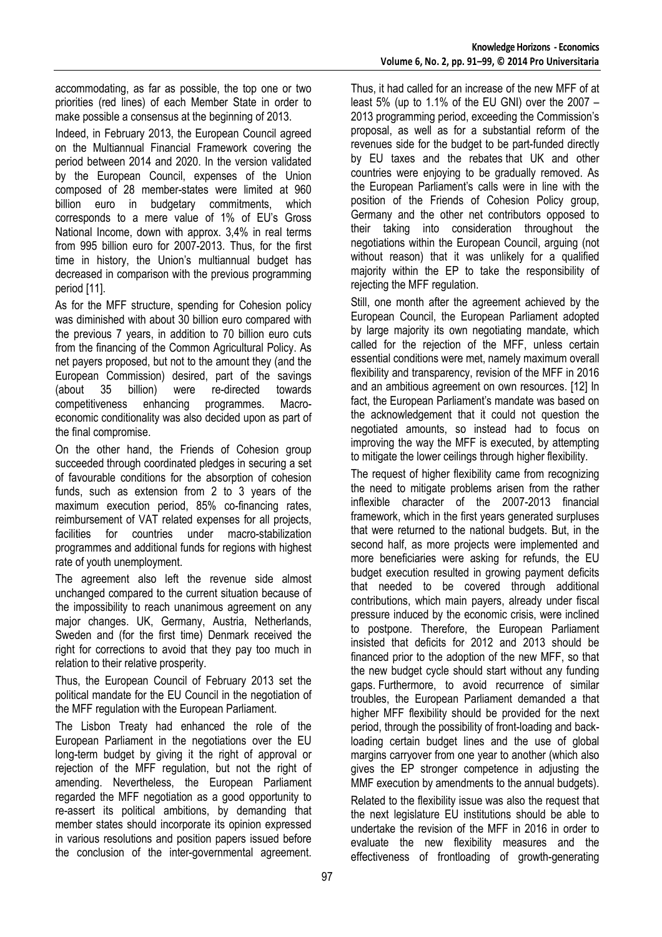accommodating, as far as possible, the top one or two priorities (red lines) of each Member State in order to make possible a consensus at the beginning of 2013.

Indeed, in February 2013, the European Council agreed on the Multiannual Financial Framework covering the period between 2014 and 2020. In the version validated by the European Council, expenses of the Union composed of 28 member-states were limited at 960 billion euro in budgetary commitments, which corresponds to a mere value of 1% of EU's Gross National Income, down with approx. 3,4% in real terms from 995 billion euro for 2007-2013. Thus, for the first time in history, the Union's multiannual budget has decreased in comparison with the previous programming period [11].

As for the MFF structure, spending for Cohesion policy was diminished with about 30 billion euro compared with the previous 7 years, in addition to 70 billion euro cuts from the financing of the Common Agricultural Policy. As net payers proposed, but not to the amount they (and the European Commission) desired, part of the savings (about 35 billion) were re-directed towards competitiveness enhancing programmes. Macroeconomic conditionality was also decided upon as part of the final compromise.

On the other hand, the Friends of Cohesion group succeeded through coordinated pledges in securing a set of favourable conditions for the absorption of cohesion funds, such as extension from 2 to 3 years of the maximum execution period, 85% co-financing rates, reimbursement of VAT related expenses for all projects, facilities for countries under macro-stabilization programmes and additional funds for regions with highest rate of youth unemployment.

The agreement also left the revenue side almost unchanged compared to the current situation because of the impossibility to reach unanimous agreement on any major changes. UK, Germany, Austria, Netherlands, Sweden and (for the first time) Denmark received the right for corrections to avoid that they pay too much in relation to their relative prosperity.

Thus, the European Council of February 2013 set the political mandate for the EU Council in the negotiation of the MFF regulation with the European Parliament.

The Lisbon Treaty had enhanced the role of the European Parliament in the negotiations over the EU long-term budget by giving it the right of approval or rejection of the MFF regulation, but not the right of amending. Nevertheless, the European Parliament regarded the MFF negotiation as a good opportunity to re-assert its political ambitions, by demanding that member states should incorporate its opinion expressed in various resolutions and position papers issued before the conclusion of the inter-governmental agreement.

Thus, it had called for an increase of the new MFF of at least 5% (up to 1.1% of the EU GNI) over the 2007 – 2013 programming period, exceeding the Commission's proposal, as well as for a substantial reform of the revenues side for the budget to be part-funded directly by EU taxes and the rebates that UK and other countries were enjoying to be gradually removed. As the European Parliament's calls were in line with the position of the Friends of Cohesion Policy group, Germany and the other net contributors opposed to their taking into consideration throughout the negotiations within the European Council, arguing (not without reason) that it was unlikely for a qualified majority within the EP to take the responsibility of rejecting the MFF regulation.

Still, one month after the agreement achieved by the European Council, the European Parliament adopted by large majority its own negotiating mandate, which called for the rejection of the MFF, unless certain essential conditions were met, namely maximum overall flexibility and transparency, revision of the MFF in 2016 and an ambitious agreement on own resources. [12] In fact, the European Parliament's mandate was based on the acknowledgement that it could not question the negotiated amounts, so instead had to focus on improving the way the MFF is executed, by attempting to mitigate the lower ceilings through higher flexibility.

The request of higher flexibility came from recognizing the need to mitigate problems arisen from the rather inflexible character of the 2007-2013 financial framework, which in the first years generated surpluses that were returned to the national budgets. But, in the second half, as more projects were implemented and more beneficiaries were asking for refunds, the EU budget execution resulted in growing payment deficits that needed to be covered through additional contributions, which main payers, already under fiscal pressure induced by the economic crisis, were inclined to postpone. Therefore, the European Parliament insisted that deficits for 2012 and 2013 should be financed prior to the adoption of the new MFF, so that the new budget cycle should start without any funding gaps. Furthermore, to avoid recurrence of similar troubles, the European Parliament demanded a that higher MFF flexibility should be provided for the next period, through the possibility of front-loading and backloading certain budget lines and the use of global margins carryover from one year to another (which also gives the EP stronger competence in adjusting the MMF execution by amendments to the annual budgets).

Related to the flexibility issue was also the request that the next legislature EU institutions should be able to undertake the revision of the MFF in 2016 in order to evaluate the new flexibility measures and the effectiveness of frontloading of growth-generating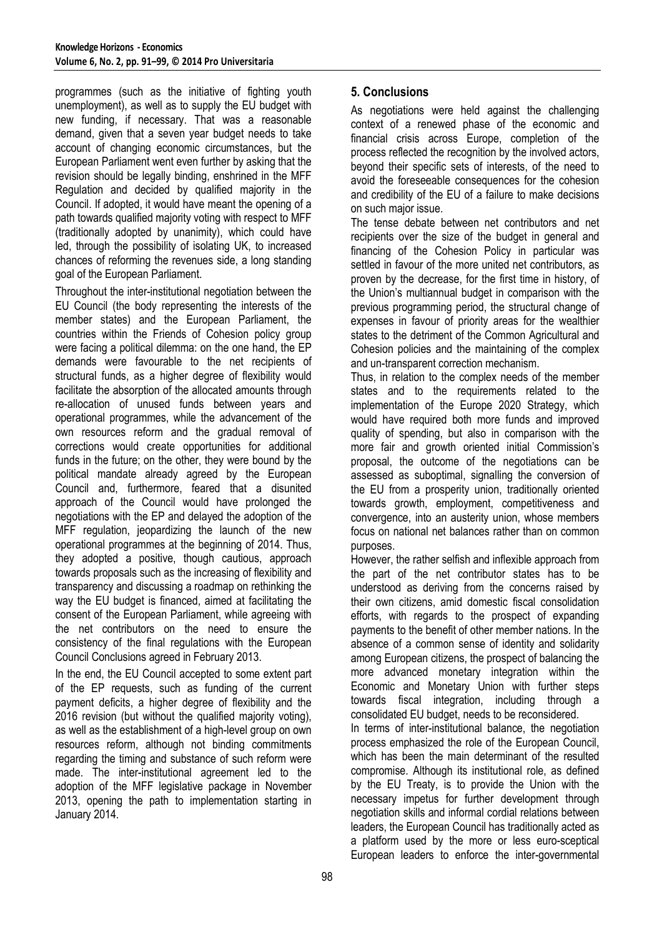programmes (such as the initiative of fighting youth unemployment), as well as to supply the EU budget with new funding, if necessary. That was a reasonable demand, given that a seven year budget needs to take account of changing economic circumstances, but the European Parliament went even further by asking that the revision should be legally binding, enshrined in the MFF Regulation and decided by qualified majority in the Council. If adopted, it would have meant the opening of a path towards qualified majority voting with respect to MFF (traditionally adopted by unanimity), which could have led, through the possibility of isolating UK, to increased chances of reforming the revenues side, a long standing goal of the European Parliament.

Throughout the inter-institutional negotiation between the EU Council (the body representing the interests of the member states) and the European Parliament, the countries within the Friends of Cohesion policy group were facing a political dilemma: on the one hand, the EP demands were favourable to the net recipients of structural funds, as a higher degree of flexibility would facilitate the absorption of the allocated amounts through re-allocation of unused funds between years and operational programmes, while the advancement of the own resources reform and the gradual removal of corrections would create opportunities for additional funds in the future; on the other, they were bound by the political mandate already agreed by the European Council and, furthermore, feared that a disunited approach of the Council would have prolonged the negotiations with the EP and delayed the adoption of the MFF regulation, jeopardizing the launch of the new operational programmes at the beginning of 2014. Thus, they adopted a positive, though cautious, approach towards proposals such as the increasing of flexibility and transparency and discussing a roadmap on rethinking the way the EU budget is financed, aimed at facilitating the consent of the European Parliament, while agreeing with the net contributors on the need to ensure the consistency of the final regulations with the European Council Conclusions agreed in February 2013.

In the end, the EU Council accepted to some extent part of the EP requests, such as funding of the current payment deficits, a higher degree of flexibility and the 2016 revision (but without the qualified majority voting), as well as the establishment of a high-level group on own resources reform, although not binding commitments regarding the timing and substance of such reform were made. The inter-institutional agreement led to the adoption of the MFF legislative package in November 2013, opening the path to implementation starting in January 2014.

# **5. Conclusions**

As negotiations were held against the challenging context of a renewed phase of the economic and financial crisis across Europe, completion of the process reflected the recognition by the involved actors, beyond their specific sets of interests, of the need to avoid the foreseeable consequences for the cohesion and credibility of the EU of a failure to make decisions on such major issue.

The tense debate between net contributors and net recipients over the size of the budget in general and financing of the Cohesion Policy in particular was settled in favour of the more united net contributors, as proven by the decrease, for the first time in history, of the Union's multiannual budget in comparison with the previous programming period, the structural change of expenses in favour of priority areas for the wealthier states to the detriment of the Common Agricultural and Cohesion policies and the maintaining of the complex and un-transparent correction mechanism.

Thus, in relation to the complex needs of the member states and to the requirements related to the implementation of the Europe 2020 Strategy, which would have required both more funds and improved quality of spending, but also in comparison with the more fair and growth oriented initial Commission's proposal, the outcome of the negotiations can be assessed as suboptimal, signalling the conversion of the EU from a prosperity union, traditionally oriented towards growth, employment, competitiveness and convergence, into an austerity union, whose members focus on national net balances rather than on common purposes.

However, the rather selfish and inflexible approach from the part of the net contributor states has to be understood as deriving from the concerns raised by their own citizens, amid domestic fiscal consolidation efforts, with regards to the prospect of expanding payments to the benefit of other member nations. In the absence of a common sense of identity and solidarity among European citizens, the prospect of balancing the more advanced monetary integration within the Economic and Monetary Union with further steps towards fiscal integration, including through a consolidated EU budget, needs to be reconsidered.

In terms of inter-institutional balance, the negotiation process emphasized the role of the European Council, which has been the main determinant of the resulted compromise. Although its institutional role, as defined by the EU Treaty, is to provide the Union with the necessary impetus for further development through negotiation skills and informal cordial relations between leaders, the European Council has traditionally acted as a platform used by the more or less euro-sceptical European leaders to enforce the inter-governmental